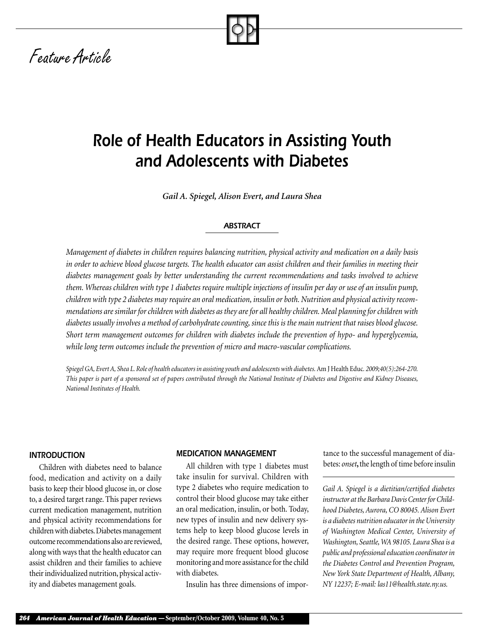# *Feature Article*

# *Role of Health Educators in Assisting Youth and Adolescents with Diabetes*

*Gail A. Spiegel, Alison Evert, and Laura Shea*

#### *ABSTRACT*

*Management of diabetes in children requires balancing nutrition, physical activity and medication on a daily basis in order to achieve blood glucose targets. The health educator can assist children and their families in meeting their diabetes management goals by better understanding the current recommendations and tasks involved to achieve them. Whereas children with type 1 diabetes require multiple injections of insulin per day or use of an insulin pump, children with type 2 diabetes may require an oral medication, insulin or both. Nutrition and physical activity recommendations are similar for children with diabetes as they are for all healthy children. Meal planning for children with diabetes usually involves a method of carbohydrate counting, since this is the main nutrient that raises blood glucose. Short term management outcomes for children with diabetes include the prevention of hypo- and hyperglycemia, while long term outcomes include the prevention of micro and macro-vascular complications.* 

*Spiegel GA, Evert A, Shea L. Role of health educators in assisting youth and adolescents with diabetes.* Am J Health Educ*. 2009;40(5):264-270. This paper is part of a sponsored set of papers contributed through the National Institute of Diabetes and Digestive and Kidney Diseases, National Institutes of Health.*

## *INTRODUCTION*

Children with diabetes need to balance food, medication and activity on a daily basis to keep their blood glucose in, or close to, a desired target range. This paper reviews current medication management, nutrition and physical activity recommendations for children with diabetes. Diabetes management outcome recommendations also are reviewed, along with ways that the health educator can assist children and their families to achieve their individualized nutrition, physical activity and diabetes management goals.

#### *MEDICATION MANAGEMENT*

All children with type 1 diabetes must take insulin for survival. Children with type 2 diabetes who require medication to control their blood glucose may take either an oral medication, insulin, or both. Today, new types of insulin and new delivery systems help to keep blood glucose levels in the desired range. These options, however, may require more frequent blood glucose monitoring and more assistance for the child with diabetes.

Insulin has three dimensions of impor-

tance to the successful management of diabetes: *onset***,** the length of time before insulin

*Gail A. Spiegel is a dietitian/certified diabetes instructor at the Barbara Davis Center for Childhood Diabetes, Aurora, CO 80045. Alison Evert is a diabetes nutrition educator in the University of Washington Medical Center, University of Washington, Seattle, WA 98105. Laura Shea is a public and professional education coordinator in the Diabetes Control and Prevention Program, New York State Department of Health, Albany, NY 12237; E-mail: las11@health.state.ny.us.*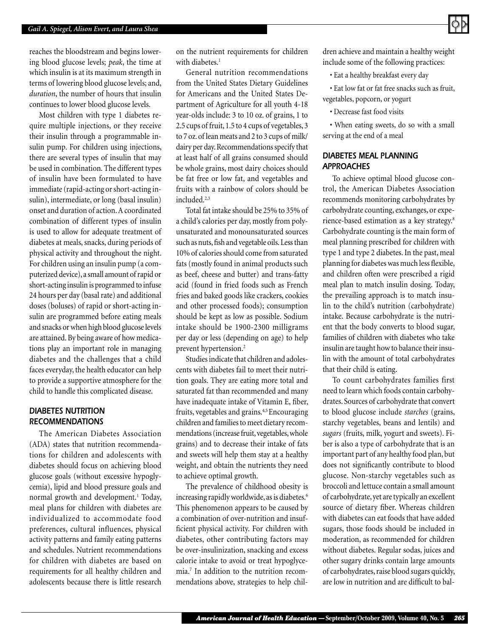

reaches the bloodstream and begins lowering blood glucose levels; *peak*, the time at which insulin is at its maximum strength in terms of lowering blood glucose levels; and, *duration*, the number of hours that insulin continues to lower blood glucose levels.

Most children with type 1 diabetes require multiple injections, or they receive their insulin through a programmable insulin pump. For children using injections, there are several types of insulin that may be used in combination. The different types of insulin have been formulated to have immediate (rapid-acting or short-acting insulin), intermediate, or long (basal insulin) onset and duration of action. A coordinated combination of different types of insulin is used to allow for adequate treatment of diabetes at meals, snacks, during periods of physical activity and throughout the night. For children using an insulin pump (a computerized device), a small amount of rapid or short-acting insulin is programmed to infuse 24 hours per day (basal rate) and additional doses (boluses) of rapid or short-acting insulin are programmed before eating meals and snacks or when high blood glucose levels are attained. by being aware of how medications play an important role in managing diabetes and the challenges that a child faces everyday, the health educator can help to provide a supportive atmosphere for the child to handle this complicated disease.

# *DIABETES NUTRITION RECOMMENDATIONS*

The American Diabetes Association (ADA) states that nutrition recommendations for children and adolescents with diabetes should focus on achieving blood glucose goals (without excessive hypoglycemia), lipid and blood pressure goals and normal growth and development.<sup>1</sup> Today, meal plans for children with diabetes are individualized to accommodate food preferences, cultural influences, physical activity patterns and family eating patterns and schedules. Nutrient recommendations for children with diabetes are based on requirements for all healthy children and adolescents because there is little research

on the nutrient requirements for children with diabetes. $<sup>1</sup>$ </sup>

General nutrition recommendations from the United States Dietary Guidelines for Americans and the United States Department of Agriculture for all youth 4-18 year-olds include: 3 to 10 oz. of grains, 1 to 2.5 cups of fruit, 1.5 to 4 cups of vegetables, 3 to 7 oz. of lean meats and 2 to 3 cups of milk/ dairy per day. Recommendations specify that at least half of all grains consumed should be whole grains, most dairy choices should be fat free or low fat, and vegetables and fruits with a rainbow of colors should be included.2,3

Total fat intake should be 25% to 35% of a child's calories per day, mostly from polyunsaturated and monounsaturated sources such as nuts, fish and vegetable oils. Less than 10% of calories should come from saturated fats (mostly found in animal products such as beef, cheese and butter) and trans-fatty acid (found in fried foods such as French fries and baked goods like crackers, cookies and other processed foods); consumption should be kept as low as possible. Sodium intake should be 1900-2300 milligrams per day or less (depending on age) to help prevent hypertension.<sup>2</sup>

Studies indicate that children and adolescents with diabetes fail to meet their nutrition goals. They are eating more total and saturated fat than recommended and many have inadequate intake of Vitamin E, fiber, fruits, vegetables and grains.<sup>4,5</sup> Encouraging children and families to meet dietary recommendations (increase fruit, vegetables, whole grains) and to decrease their intake of fats and sweets will help them stay at a healthy weight, and obtain the nutrients they need to achieve optimal growth.

The prevalence of childhood obesity is increasing rapidly worldwide, as is diabetes.<sup>6</sup> This phenomenon appears to be caused by a combination of over-nutrition and insufficient physical activity. For children with diabetes, other contributing factors may be over-insulinization, snacking and excess calorie intake to avoid or treat hypoglycemia.7 In addition to the nutrition recommendations above, strategies to help children achieve and maintain a healthy weight include some of the following practices:

• Eat a healthy breakfast every day

• Eat low fat or fat free snacks such as fruit, vegetables, popcorn, or yogurt

• Decrease fast food visits

• When eating sweets, do so with a small serving at the end of a meal

# *DIABETES MEAL PLANNING APPROACHES*

To achieve optimal blood glucose control, the American Diabetes Association recommends monitoring carbohydrates by carbohydrate counting, exchanges, or experience-based estimation as a key strategy.<sup>8</sup> Carbohydrate counting is the main form of meal planning prescribed for children with type 1 and type 2 diabetes. In the past, meal planning for diabetes was much less flexible, and children often were prescribed a rigid meal plan to match insulin dosing. Today, the prevailing approach is to match insulin to the child's nutrition (carbohydrate) intake. because carbohydrate is the nutrient that the body converts to blood sugar, families of children with diabetes who take insulin are taught how to balance their insulin with the amount of total carbohydrates that their child is eating.

To count carbohydrates families first need to learn which foods contain carbohydrates. Sources of carbohydrate that convert to blood glucose include *starches* (grains, starchy vegetables, beans and lentils) and *sugars* (fruits, milk, yogurt and sweets). Fiber is also a type of carbohydrate that is an important part of any healthy food plan, but does not significantly contribute to blood glucose. Non-starchy vegetables such as broccoli and lettuce contain a small amount of carbohydrate, yet are typically an excellent source of dietary fiber. Whereas children with diabetes can eat foods that have added sugars, those foods should be included in moderation, as recommended for children without diabetes. Regular sodas, juices and other sugary drinks contain large amounts of carbohydrates, raise blood sugars quickly, are low in nutrition and are difficult to bal-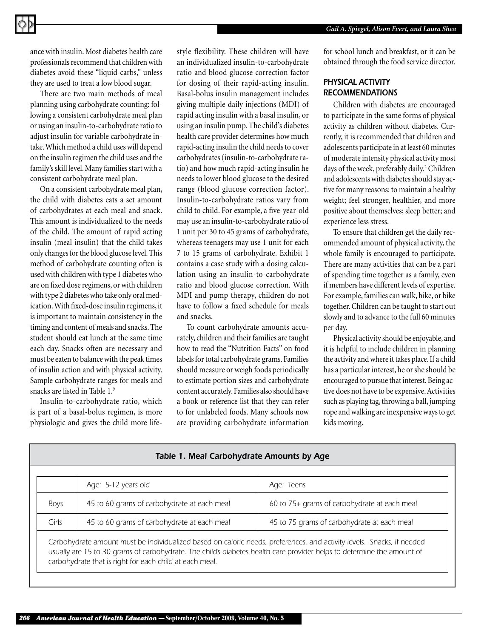ance with insulin. Most diabetes health care professionals recommend that children with diabetes avoid these "liquid carbs," unless they are used to treat a low blood sugar.

There are two main methods of meal planning using carbohydrate counting: following a consistent carbohydrate meal plan or using an insulin-to-carbohydrate ratio to adjust insulin for variable carbohydrate intake. Which method a child uses will depend on the insulin regimen the child uses and the family's skill level. Many families start with a consistent carbohydrate meal plan.

On a consistent carbohydrate meal plan, the child with diabetes eats a set amount of carbohydrates at each meal and snack. This amount is individualized to the needs of the child. The amount of rapid acting insulin (meal insulin) that the child takes only changes for the blood glucose level. This method of carbohydrate counting often is used with children with type 1 diabetes who are on fixed dose regimens, or with children with type 2 diabetes who take only oral medication. With fixed-dose insulin regimens, it is important to maintain consistency in the timing and content of meals and snacks.The student should eat lunch at the same time each day. Snacks often are necessary and must be eaten to balance with the peak times of insulin action and with physical activity. Sample carbohydrate ranges for meals and snacks are listed in Table 1.9

Insulin-to-carbohydrate ratio, which is part of a basal-bolus regimen, is more physiologic and gives the child more lifestyle flexibility. These children will have an individualized insulin-to-carbohydrate ratio and blood glucose correction factor for dosing of their rapid-acting insulin. basal-bolus insulin management includes giving multiple daily injections (MDI) of rapid acting insulin with a basal insulin, or using an insulin pump. The child's diabetes health care provider determines how much rapid-acting insulin the child needs to cover carbohydrates (insulin-to-carbohydrate ratio) and how much rapid-acting insulin he needs to lower blood glucose to the desired range (blood glucose correction factor). Insulin-to-carbohydrate ratios vary from child to child. For example, a five-year-old may use an insulin-to-carbohydrate ratio of 1 unit per 30 to 45 grams of carbohydrate, whereas teenagers may use 1 unit for each 7 to 15 grams of carbohydrate. Exhibit 1 contains a case study with a dosing calculation using an insulin-to-carbohydrate ratio and blood glucose correction. With MDI and pump therapy, children do not have to follow a fixed schedule for meals and snacks.

To count carbohydrate amounts accurately, children and their families are taught how to read the "Nutrition Facts" on food labels for total carbohydrate grams. Families should measure or weigh foods periodically to estimate portion sizes and carbohydrate content accurately. Families also should have a book or reference list that they can refer to for unlabeled foods. Many schools now are providing carbohydrate information

for school lunch and breakfast, or it can be obtained through the food service director.

# *PHYSICAL ACTIVITY RECOMMENDATIONS*

Children with diabetes are encouraged to participate in the same forms of physical activity as children without diabetes. Currently, it is recommended that children and adolescents participate in at least 60 minutes of moderate intensity physical activity most days of the week, preferably daily.<sup>2</sup> Children and adolescents with diabetes should stay active for many reasons: to maintain a healthy weight; feel stronger, healthier, and more positive about themselves; sleep better; and experience less stress.

To ensure that children get the daily recommended amount of physical activity, the whole family is encouraged to participate. There are many activities that can be a part of spending time together as a family, even if members have different levels of expertise. For example, families can walk, hike, or bike together. Children can be taught to start out slowly and to advance to the full 60 minutes per day.

Physical activity should be enjoyable, and it is helpful to include children in planning the activity and where it takes place. If a child has a particular interest, he or she should be encouraged to pursue that interest. being active does not have to be expensive. Activities such as playing tag, throwing a ball, jumping rope and walking are inexpensive ways to get kids moving.

|             | Table 1. Meal Carbohydrate Amounts by Age                                                                                                                                                                                                                                                                   |                                              |  |  |  |
|-------------|-------------------------------------------------------------------------------------------------------------------------------------------------------------------------------------------------------------------------------------------------------------------------------------------------------------|----------------------------------------------|--|--|--|
|             | Age: 5-12 years old                                                                                                                                                                                                                                                                                         | Age: Teens                                   |  |  |  |
| <b>Boys</b> | 45 to 60 grams of carbohydrate at each meal                                                                                                                                                                                                                                                                 | 60 to 75+ grams of carbohydrate at each meal |  |  |  |
| Girls       | 45 to 60 grams of carbohydrate at each meal                                                                                                                                                                                                                                                                 | 45 to 75 grams of carbohydrate at each meal  |  |  |  |
|             | Carbohydrate amount must be individualized based on caloric needs, preferences, and activity levels. Snacks, if needed<br>usually are 15 to 30 grams of carbohydrate. The child's diabetes health care provider helps to determine the amount of<br>carbohydrate that is right for each child at each meal. |                                              |  |  |  |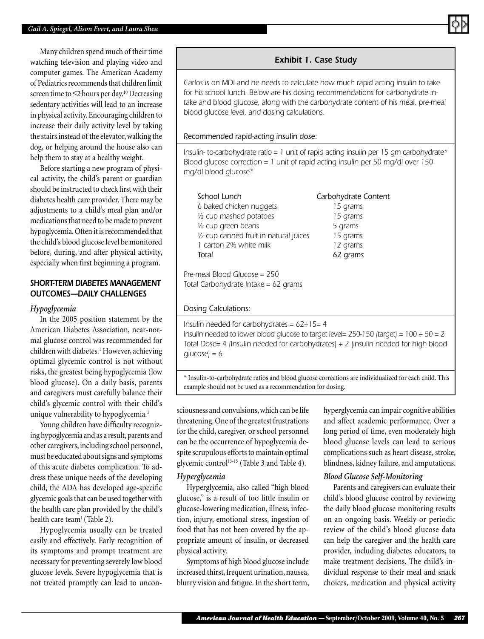Many children spend much of their time watching television and playing video and computer games. The American Academy of Pediatrics recommends that children limit screen time to ≤2 hours per day.<sup>10</sup> Decreasing sedentary activities will lead to an increase in physical activity. Encouraging children to increase their daily activity level by taking the stairs instead of the elevator, walking the dog, or helping around the house also can help them to stay at a healthy weight.

before starting a new program of physical activity, the child's parent or guardian should be instructed to check first with their diabetes health care provider. There may be adjustments to a child's meal plan and/or medications that need to be made to prevent hypoglycemia. Often it is recommended that the child's blood glucose level be monitored before, during, and after physical activity, especially when first beginning a program.

# *SHORT-TERM DIABETES MANAGEMENT OUTCOMES—DAILY CHALLENGES*

### *Hypoglycemia*

In the 2005 position statement by the American Diabetes Association, near-normal glucose control was recommended for children with diabetes.<sup>1</sup> However, achieving optimal glycemic control is not without risks, the greatest being hypoglycemia (low blood glucose). On a daily basis, parents and caregivers must carefully balance their child's glycemic control with their child's unique vulnerability to hypoglycemia.<sup>1</sup>

Young children have difficulty recognizing hypoglycemia and as a result, parents and other caregivers, including school personnel, must be educated about signs and symptoms of this acute diabetes complication. To address these unique needs of the developing child, the ADA has developed age-specific glycemic goals that can be used together with the health care plan provided by the child's health care team<sup>1</sup> (Table 2).

Hypoglycemia usually can be treated easily and effectively. Early recognition of its symptoms and prompt treatment are necessary for preventing severely low blood glucose levels. Severe hypoglycemia that is not treated promptly can lead to uncon-

# *Exhibit 1. Case Study*

*Carlos is on MDI and he needs to calculate how much rapid acting insulin to take for his school lunch. Below are his dosing recommendations for carbohydrate in*take and blood glucose, along with the carbohydrate content of his meal, pre-meal *blood glucose level, and dosing calculations.* 

#### *Recommended rapid-acting insulin dose:*

*Insulin- to-carbohydrate ratio = 1 unit of rapid acting insulin per 15 gm carbohydrate\* Blood glucose correction = 1 unit of rapid acting insulin per 50 mg/dl over 150 mg/dl blood glucose\**

| School Lunch                           | Carbohydrate Content |
|----------------------------------------|----------------------|
| 6 baked chicken nuggets                | 15 grams             |
| 1/2 cup mashed potatoes                | 15 grams             |
| 1/2 cup green beans                    | 5 grams              |
| 1/2 cup canned fruit in natural juices | 15 grams             |
| 1 carton 2% white milk                 | 12 grams             |
| Total                                  | 62 grams             |
|                                        |                      |
| moal Dlood Clusses 250                 |                      |

*Pre-meal Blood Glucose = 250 Total Carbohydrate Intake = 62 grams*

### *Dosing Calculations:*

*Insulin needed for carbohydrates = 62÷15= 4 Insulin needed to lower blood glucose to target level= 250-150 (target) = 100 ÷ 50 = 2 Total Dose= 4 (Insulin needed for carbohydrates) + 2 (insulin needed for high blood glucose) = 6*

\* Insulin-to-carbohydrate ratios and blood glucose corrections are individualized for each child. This example should not be used as a recommendation for dosing.

sciousness and convulsions, which can be life threatening. One of the greatest frustrations for the child, caregiver, or school personnel can be the occurrence of hypoglycemia despite scrupulous efforts to maintain optimal glycemic control<sup>13-15</sup> (Table 3 and Table 4).

## *Hyperglycemia*

Hyperglycemia, also called "high blood glucose," is a result of too little insulin or glucose-lowering medication, illness, infection, injury, emotional stress, ingestion of food that has not been covered by the appropriate amount of insulin, or decreased physical activity.

Symptoms of high blood glucose include increased thirst, frequent urination, nausea, blurry vision and fatigue. In the short term, hyperglycemia can impair cognitive abilities and affect academic performance. Over a long period of time, even moderately high blood glucose levels can lead to serious complications such as heart disease, stroke, blindness, kidney failure, and amputations.

## *Blood Glucose Self-Monitoring*

Parents and caregivers can evaluate their child's blood glucose control by reviewing the daily blood glucose monitoring results on an ongoing basis. Weekly or periodic review of the child's blood glucose data can help the caregiver and the health care provider, including diabetes educators, to make treatment decisions. The child's individual response to their meal and snack choices, medication and physical activity

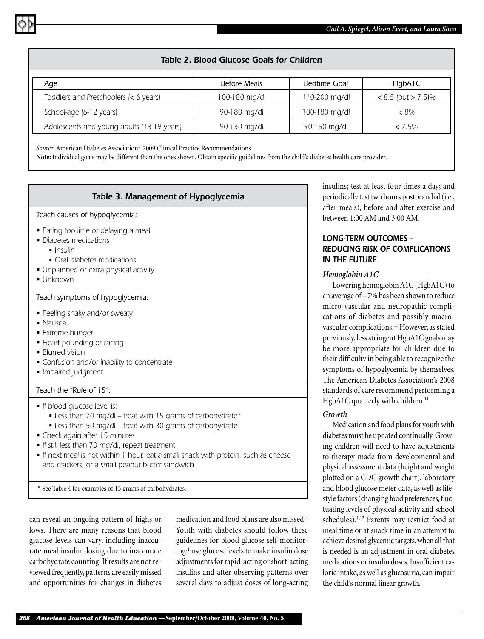|  |  | Table 2. Blood Glucose Goals for Children |  |  |  |
|--|--|-------------------------------------------|--|--|--|
|--|--|-------------------------------------------|--|--|--|

| Aqe                                        | Before Meals  | Bedtime Goal  | HabA1C               |
|--------------------------------------------|---------------|---------------|----------------------|
| Toddlers and Preschoolers (< 6 years)      | 100-180 mg/dl | 110-200 mg/dl | $< 8.5$ (but > 7.5)% |
| School-age (6-12 years)                    | 90-180 mg/dl  | 100-180 mg/dl | $< 8\%$              |
| Adolescents and young adults (13-19 years) | 90-130 mg/dl  | 90-150 mg/dl  | c 7 5%               |

*Source*: American Diabetes Association: 2009 Clinical Practice Recommendations

**Note:** Individual goals may be different than the ones shown. Obtain specific guidelines from the child's diabetes health care provider.

|  | Table 3. Management of Hypoglycemia |  |
|--|-------------------------------------|--|
|--|-------------------------------------|--|

#### *Teach causes of hypoglycemia:*

- Eating too little or delaying a meal
- Diabetes medications
	- Insulin
	- Oral diabetes medications
- Unplanned or extra physical activity
- Unknown

#### *Teach symptoms of hypoglycemia:*

- Feeling shaky and/or sweaty
- Nausea
- Extreme hunger
- Heart pounding or racing
- Blurred vision
- Confusion and/or inability to concentrate
- Impaired judgment

## *Teach the "Rule of 15":*

- If blood glucose level is:
	- **Less than 70 mg/dl treat with 15 grams of carbohydrate\***
	- Less than 50 mg/dl treat with 30 grams of carbohydrate
- Check again after 15 minutes
- If still less than 70 mg/dl, repeat treatment
- If next meal is not within 1 hour, eat a small snack with protein, such as cheese  *and crackers, or a small peanut butter sandwich*

\* See Table 4 for examples of 15 grams of carbohydrates.

can reveal an ongoing pattern of highs or lows. There are many reasons that blood glucose levels can vary, including inaccurate meal insulin dosing due to inaccurate carbohydrate counting. If results are not reviewed frequently, patterns are easily missed and opportunities for changes in diabetes medication and food plans are also missed.<sup>1</sup> Youth with diabetes should follow these guidelines for blood glucose self-monitoring:1 use glucose levels to make insulin dose adjustments for rapid-acting or short-acting insulins and after observing patterns over several days to adjust doses of long-acting

insulins; test at least four times a day; and periodically test two hours postprandial (i.e., after meals), before and after exercise and between 1:00 AM and 3:00 AM.

# *LONG-TERM OUTCOMES – REDUCING RISK OF COMPLICATIONS IN THE FUTURE*

## *Hemoglobin A1C*

Lowering hemoglobin A1C (HgbA1C) to an average of ~7% has been shown to reduce micro-vascular and neuropathic complications of diabetes and possibly macrovascular complications.<sup>11</sup> However, as stated previously, less stringent HgbA1C goals may be more appropriate for children due to their difficulty in being able to recognize the symptoms of hypoglycemia by themselves. The American Diabetes Association's 2008 standards of care recommend performing a HgbA1C quarterly with children.<sup>11</sup>

## *Growth*

Medication and food plans for youth with diabetes must be updated continually. Growing children will need to have adjustments to therapy made from developmental and physical assessment data (height and weight plotted on a CDC growth chart), laboratory and blood glucose meter data, as well as lifestyle factors (changing food preferences, fluctuating levels of physical activity and school schedules).<sup>1,12</sup> Parents may restrict food at meal time or at snack time in an attempt to achieve desired glycemic targets, when all that is needed is an adjustment in oral diabetes medications or insulin doses. Insufficient caloric intake, as well as glucosuria, can impair the child's normal linear growth.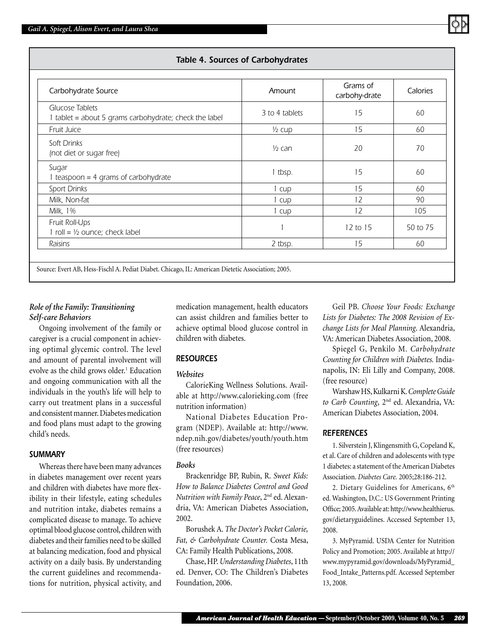| Carbohydrate Source                                                       | Amount            | Grams of<br>carbohy-drate | Calories |  |
|---------------------------------------------------------------------------|-------------------|---------------------------|----------|--|
| Glucose Tablets<br>1 tablet = about 5 grams carbohydrate; check the label | 3 to 4 tablets    | 15                        | 60       |  |
| Fruit Juice                                                               | $\frac{1}{2}$ cup | 15                        | 60       |  |
| Soft Drinks<br>(not diet or sugar free)                                   | $\frac{1}{2}$ can | 20                        | 70       |  |
| Sugar<br>1 teaspoon = $4$ grams of carbohydrate                           | 1 tbsp.           | 15                        | 60       |  |
| <b>Sport Drinks</b>                                                       | 1 cup             | 15                        | 60       |  |
| Milk, Non-fat                                                             | 1 cup             | 12                        | 90       |  |
| Milk, 1%                                                                  | 1 cup             | 12                        | 105      |  |
| Fruit Roll-Ups<br>1 roll = $\frac{1}{2}$ ounce; check label               |                   | 12 to 15                  | 50 to 75 |  |
| Raisins                                                                   | 2 tbsp.           | 15                        | 60       |  |

## *Table 4. Sources of Carbohydrates*

# *Role of the Family: Transitioning Self-care Behaviors*

Ongoing involvement of the family or caregiver is a crucial component in achieving optimal glycemic control. The level and amount of parental involvement will evolve as the child grows older.<sup>1</sup> Education and ongoing communication with all the individuals in the youth's life will help to carry out treatment plans in a successful and consistent manner. Diabetes medication and food plans must adapt to the growing child's needs.

## *SUMMARY*

Whereas there have been many advances in diabetes management over recent years and children with diabetes have more flexibility in their lifestyle, eating schedules and nutrition intake, diabetes remains a complicated disease to manage. To achieve optimal blood glucose control, children with diabetes and their families need to be skilled at balancing medication, food and physical activity on a daily basis. by understanding the current guidelines and recommendations for nutrition, physical activity, and

medication management, health educators can assist children and families better to achieve optimal blood glucose control in children with diabetes.

# *RESOURCES*

## *Websites*

CalorieKing Wellness Solutions. Available at http://www.calorieking.com (free nutrition information)

National Diabetes Education Program (NDEP). Available at: http://www. ndep.nih.gov/diabetes/youth/youth.htm (free resources)

# *Books*

brackenridge bP, Rubin, R. *Sweet Kids: How to Balance Diabetes Control and Good Nutrition with Family Peace*, 2nd ed. Alexandria, VA: American Diabetes Association, 2002.

borushek A. *The Doctor's Pocket Calorie, Fat, & Carbohydrate Counter.* Costa Mesa, CA: Family Health Publications, 2008.

Chase, HP. *Understanding Diabetes*, 11th ed*.* Denver, CO: The Children's Diabetes Foundation, 2006.

Geil Pb. *Choose Your Foods: Exchange Lists for Diabetes: The 2008 Revision of Exchange Lists for Meal Planning*. Alexandria, VA: American Diabetes Association, 2008.

Spiegel G, Penkilo M. *Carbohydrate Counting for Children with Diabetes.* Indianapolis, IN: Eli Lilly and Company, 2008. (free resource)

Warshaw HS, Kulkarni K. *Complete Guide to Carb Counting*, 2nd ed. Alexandria, VA: American Diabetes Association, 2004.

# *REFERENCES*

1. Silverstein J, Klingensmith G, Copeland K, et al. Care of children and adolescents with type 1 diabetes: a statement of the American Diabetes Association. *Diabetes Care.* 2005;28:186-212.

2. Dietary Guidelines for Americans, 6<sup>th</sup> ed. Washington, D.C.: US Government Printing Office; 2005. Available at: http://www.healthierus. gov/dietaryguidelines. Accessed September 13, 2008.

3. MyPyramid. USDA Center for Nutrition Policy and Promotion; 2005. Available at http:// www.mypyramid.gov/downloads/MyPyramid\_ Food\_Intake\_Patterns.pdf. Accessed September 13, 2008.